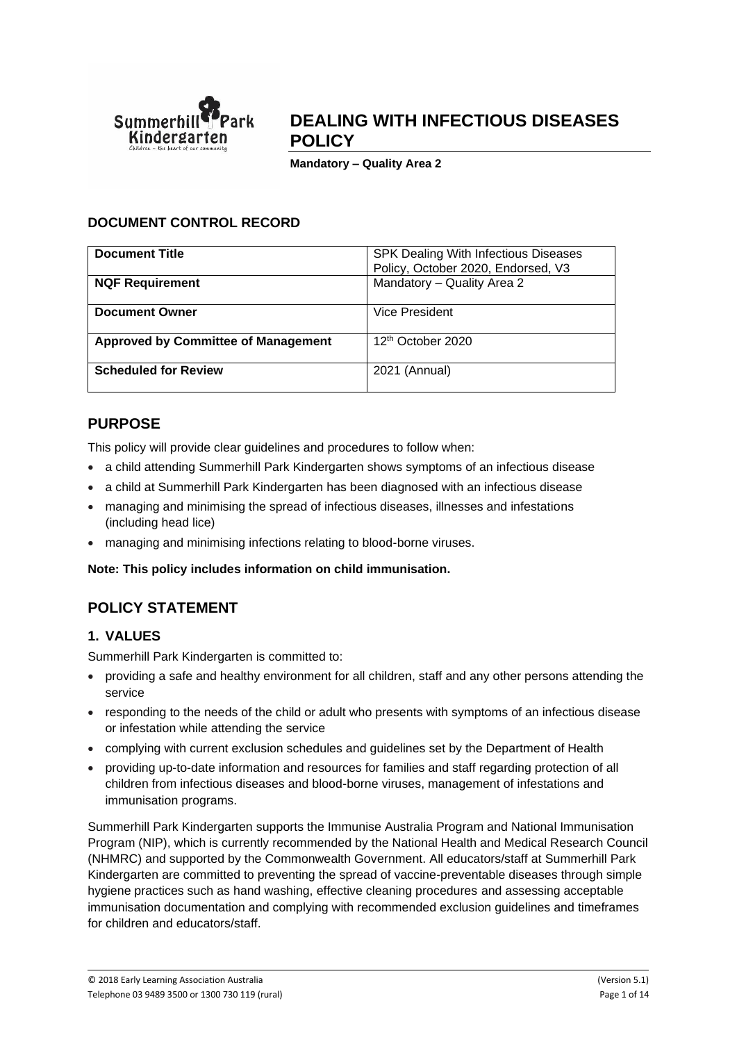

# **DEALING WITH INFECTIOUS DISEASES POLICY**

**Mandatory – Quality Area 2**

## **DOCUMENT CONTROL RECORD**

| <b>Document Title</b>                      | <b>SPK Dealing With Infectious Diseases</b><br>Policy, October 2020, Endorsed, V3 |
|--------------------------------------------|-----------------------------------------------------------------------------------|
| <b>NQF Requirement</b>                     | Mandatory - Quality Area 2                                                        |
| Document Owner                             | Vice President                                                                    |
| <b>Approved by Committee of Management</b> | 12 <sup>th</sup> October 2020                                                     |
| <b>Scheduled for Review</b>                | 2021 (Annual)                                                                     |

# **PURPOSE**

This policy will provide clear guidelines and procedures to follow when:

- a child attending Summerhill Park Kindergarten shows symptoms of an infectious disease
- a child at Summerhill Park Kindergarten has been diagnosed with an infectious disease
- managing and minimising the spread of infectious diseases, illnesses and infestations (including head lice)
- managing and minimising infections relating to blood-borne viruses.

**Note: This policy includes information on child immunisation.**

# **POLICY STATEMENT**

## **1. VALUES**

Summerhill Park Kindergarten is committed to:

- providing a safe and healthy environment for all children, staff and any other persons attending the service
- responding to the needs of the child or adult who presents with symptoms of an infectious disease or infestation while attending the service
- complying with current exclusion schedules and guidelines set by the Department of Health
- providing up-to-date information and resources for families and staff regarding protection of all children from infectious diseases and blood-borne viruses, management of infestations and immunisation programs.

Summerhill Park Kindergarten supports the Immunise Australia Program and National Immunisation Program (NIP), which is currently recommended by the National Health and Medical Research Council (NHMRC) and supported by the Commonwealth Government. All educators/staff at Summerhill Park Kindergarten are committed to preventing the spread of vaccine-preventable diseases through simple hygiene practices such as hand washing, effective cleaning procedures and assessing acceptable immunisation documentation and complying with recommended exclusion guidelines and timeframes for children and educators/staff.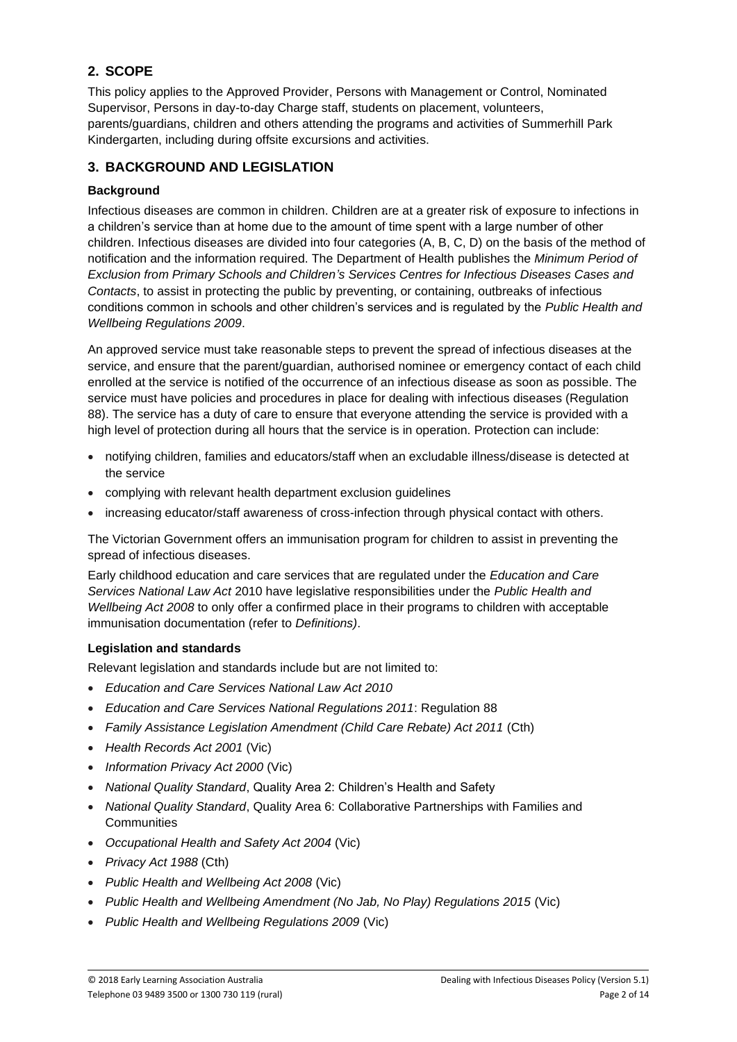# **2. SCOPE**

This policy applies to the Approved Provider, Persons with Management or Control, Nominated Supervisor, Persons in day-to-day Charge staff, students on placement, volunteers, parents/guardians, children and others attending the programs and activities of Summerhill Park Kindergarten, including during offsite excursions and activities.

## **3. BACKGROUND AND LEGISLATION**

## **Background**

Infectious diseases are common in children. Children are at a greater risk of exposure to infections in a children's service than at home due to the amount of time spent with a large number of other children. Infectious diseases are divided into four categories (A, B, C, D) on the basis of the method of notification and the information required. The Department of Health publishes the *Minimum Period of Exclusion from Primary Schools and Children's Services Centres for Infectious Diseases Cases and Contacts*, to assist in protecting the public by preventing, or containing, outbreaks of infectious conditions common in schools and other children's services and is regulated by the *Public Health and Wellbeing Regulations 2009*.

An approved service must take reasonable steps to prevent the spread of infectious diseases at the service, and ensure that the parent/guardian, authorised nominee or emergency contact of each child enrolled at the service is notified of the occurrence of an infectious disease as soon as possible. The service must have policies and procedures in place for dealing with infectious diseases (Regulation 88). The service has a duty of care to ensure that everyone attending the service is provided with a high level of protection during all hours that the service is in operation. Protection can include:

- notifying children, families and educators/staff when an excludable illness/disease is detected at the service
- complying with relevant health department exclusion guidelines
- increasing educator/staff awareness of cross-infection through physical contact with others.

The Victorian Government offers an immunisation program for children to assist in preventing the spread of infectious diseases.

Early childhood education and care services that are regulated under the *Education and Care Services National Law Act* 2010 have legislative responsibilities under the *Public Health and Wellbeing Act 2008* to only offer a confirmed place in their programs to children with acceptable immunisation documentation (refer to *Definitions)*.

#### **Legislation and standards**

Relevant legislation and standards include but are not limited to:

- *Education and Care Services National Law Act 2010*
- *Education and Care Services National Regulations 2011*: Regulation 88
- *Family Assistance Legislation Amendment (Child Care Rebate) Act 2011* (Cth)
- *Health Records Act 2001* (Vic)
- *Information Privacy Act 2000* (Vic)
- *National Quality Standard*, Quality Area 2: Children's Health and Safety
- *National Quality Standard*, Quality Area 6: Collaborative Partnerships with Families and **Communities**
- *Occupational Health and Safety Act 2004* (Vic)
- *Privacy Act 1988* (Cth)
- *Public Health and Wellbeing Act 2008* (Vic)
- *Public Health and Wellbeing Amendment (No Jab, No Play) Regulations 2015* (Vic)
- *Public Health and Wellbeing Regulations 2009* (Vic)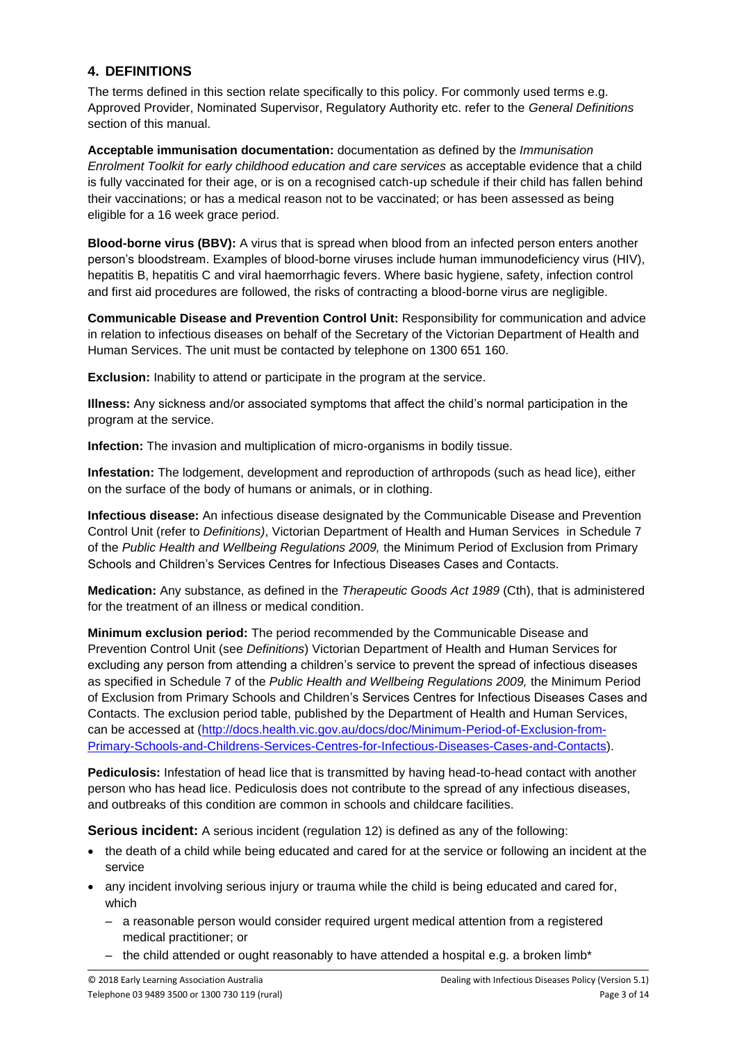## **4. DEFINITIONS**

The terms defined in this section relate specifically to this policy. For commonly used terms e.g. Approved Provider, Nominated Supervisor, Regulatory Authority etc. refer to the *General Definitions* section of this manual.

**Acceptable immunisation documentation:** documentation as defined by the *Immunisation Enrolment Toolkit for early childhood education and care services* as acceptable evidence that a child is fully vaccinated for their age, or is on a recognised catch-up schedule if their child has fallen behind their vaccinations; or has a medical reason not to be vaccinated; or has been assessed as being eligible for a 16 week grace period.

**Blood-borne virus (BBV):** A virus that is spread when blood from an infected person enters another person's bloodstream. Examples of blood-borne viruses include human immunodeficiency virus [\(HIV\)](http://en.wikipedia.org/wiki/HIV), [hepatitis B,](http://en.wikipedia.org/wiki/Hepatitis_B) [hepatitis C](http://en.wikipedia.org/wiki/Hepatitis_C) and [viral haemorrhagic fevers.](http://en.wikipedia.org/wiki/Viral_hemorrhagic_fever) Where basic hygiene, safety, infection control and first aid procedures are followed, the risks of contracting a blood-borne virus are negligible.

**Communicable Disease and Prevention Control Unit:** Responsibility for communication and advice in relation to infectious diseases on behalf of the Secretary of the Victorian Department of Health and Human Services. The unit must be contacted by telephone on 1300 651 160.

**Exclusion:** Inability to attend or participate in the program at the service.

**Illness:** Any sickness and/or associated symptoms that affect the child's normal participation in the program at the service.

**Infection:** The invasion and multiplication of micro-organisms in bodily tissue.

**Infestation:** The lodgement, development and reproduction of arthropods (such as head lice), either on the surface of the body of humans or animals, or in clothing.

**Infectious disease:** An infectious disease designated by the Communicable Disease and Prevention Control Unit (refer to *Definitions)*, Victorian Department of Health and Human Services in Schedule 7 of the *Public Health and Wellbeing Regulations 2009,* the Minimum Period of Exclusion from Primary Schools and Children's Services Centres for Infectious Diseases Cases and Contacts.

**Medication:** Any substance, as defined in the *Therapeutic Goods Act 1989* (Cth), that is administered for the treatment of an illness or medical condition.

**Minimum exclusion period:** The period recommended by the Communicable Disease and Prevention Control Unit (see *Definitions*) Victorian Department of Health and Human Services for excluding any person from attending a children's service to prevent the spread of infectious diseases as specified in Schedule 7 of the *Public Health and Wellbeing Regulations 2009,* the Minimum Period of Exclusion from Primary Schools and Children's Services Centres for Infectious Diseases Cases and Contacts. The exclusion period table, published by the Department of Health and Human Services, can be accessed at [\(http://docs.health.vic.gov.au/docs/doc/Minimum-Period-of-Exclusion-from-](http://docs.health.vic.gov.au/docs/doc/Minimum-Period-of-Exclusion-from-Primary-Schools-and-Childrens-Services-Centres-for-Infectious-Diseases-Cases-and-Contacts)[Primary-Schools-and-Childrens-Services-Centres-for-Infectious-Diseases-Cases-and-Contacts\)](http://docs.health.vic.gov.au/docs/doc/Minimum-Period-of-Exclusion-from-Primary-Schools-and-Childrens-Services-Centres-for-Infectious-Diseases-Cases-and-Contacts).

**Pediculosis:** Infestation of head lice that is transmitted by having head-to-head contact with another person who has head lice. Pediculosis does not contribute to the spread of any infectious diseases, and outbreaks of this condition are common in schools and childcare facilities.

**Serious incident:** A serious incident (regulation 12) is defined as any of the following:

- the death of a child while being educated and cared for at the service or following an incident at the service
- any incident involving serious injury or trauma while the child is being educated and cared for, which
	- a reasonable person would consider required urgent medical attention from a registered medical practitioner; or
	- the child attended or ought reasonably to have attended a hospital e.g. a broken limb\*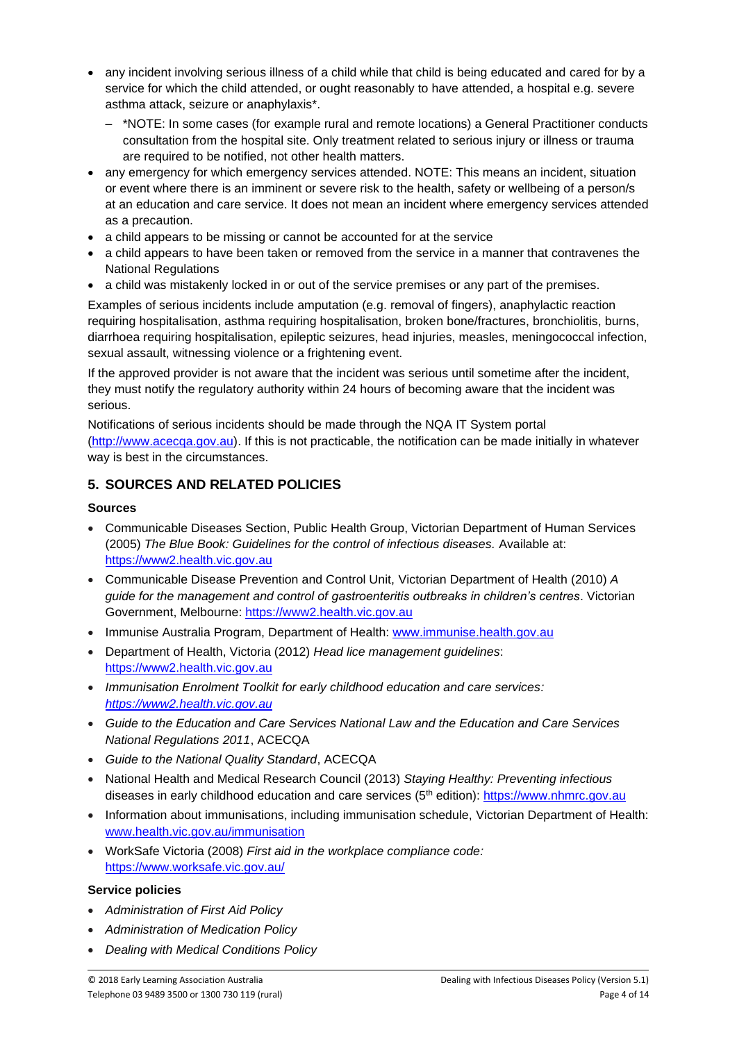- any incident involving serious illness of a child while that child is being educated and cared for by a service for which the child attended, or ought reasonably to have attended, a hospital e.g. severe asthma attack, seizure or anaphylaxis\*.
	- \*NOTE: In some cases (for example rural and remote locations) a General Practitioner conducts consultation from the hospital site. Only treatment related to serious injury or illness or trauma are required to be notified, not other health matters.
- any emergency for which emergency services attended. NOTE: This means an incident, situation or event where there is an imminent or severe risk to the health, safety or wellbeing of a person/s at an education and care service. It does not mean an incident where emergency services attended as a precaution.
- a child appears to be missing or cannot be accounted for at the service
- a child appears to have been taken or removed from the service in a manner that contravenes the National Regulations
- a child was mistakenly locked in or out of the service premises or any part of the premises.

Examples of serious incidents include amputation (e.g. removal of fingers), anaphylactic reaction requiring hospitalisation, asthma requiring hospitalisation, broken bone/fractures, bronchiolitis, burns, diarrhoea requiring hospitalisation, epileptic seizures, head injuries, measles, meningococcal infection, sexual assault, witnessing violence or a frightening event.

If the approved provider is not aware that the incident was serious until sometime after the incident, they must notify the regulatory authority within 24 hours of becoming aware that the incident was serious.

Notifications of serious incidents should be made through the NQA IT System portal [\(http://www.acecqa.gov.au\)](http://www.acecqa.gov.au/). If this is not practicable, the notification can be made initially in whatever way is best in the circumstances.

## **5. SOURCES AND RELATED POLICIES**

### **Sources**

- Communicable Diseases Section, Public Health Group, Victorian Department of Human Services (2005) *The Blue Book: Guidelines for the control of infectious diseases.* Available at: [https://www2.health.vic.gov.au](https://www2.health.vic.gov.au/)
- Communicable Disease Prevention and Control Unit, Victorian Department of Health (2010) *A guide for the management and control of gastroenteritis outbreaks in children's centres*. Victorian Government, Melbourne: [https://www2.health.vic.gov.au](https://www2.health.vic.gov.au/)
- Immunise Australia Program, Department of Health: [www.immunise.health.gov.au](http://www.immunise.health.gov.au/)
- Department of Health, Victoria (2012) *Head lice management guidelines*: [https://www2.health.vic.gov.au](https://www2.health.vic.gov.au/)
- *Immunisation Enrolment Toolkit for early childhood education and care services: [https://www2.health.vic.gov.au](https://www2.health.vic.gov.au/)*
- *Guide to the Education and Care Services National Law and the Education and Care Services National Regulations 2011*, ACECQA
- *Guide to the National Quality Standard*, ACECQA
- National Health and Medical Research Council (2013) *Staying Healthy: Preventing infectious*  diseases in early childhood education and care services (5th edition): [https://www.nhmrc.gov.au](https://www.nhmrc.gov.au/)
- Information about immunisations, including immunisation schedule, Victorian Department of Health: [www.health.vic.gov.au/immunisation](http://www.health.vic.gov.au/immunisation)
- WorkSafe Victoria (2008) *First aid in the workplace compliance code:* <https://www.worksafe.vic.gov.au/>

#### **Service policies**

- *Administration of First Aid Policy*
- *Administration of Medication Policy*
- *Dealing with Medical Conditions Policy*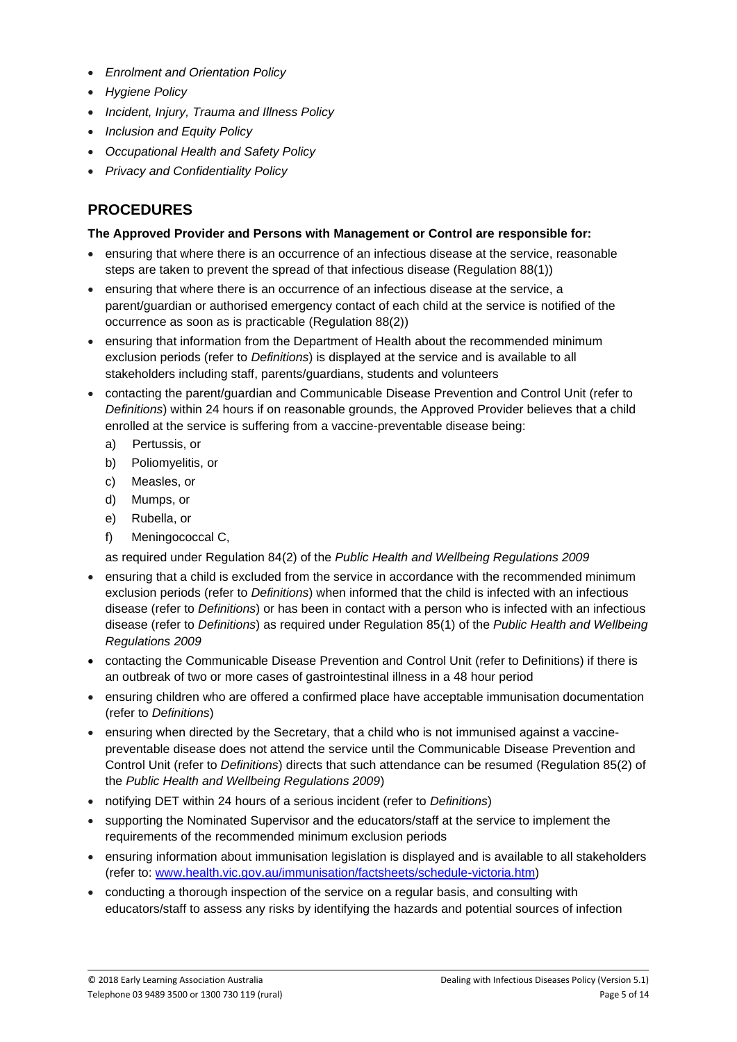- *Enrolment and Orientation Policy*
- *Hygiene Policy*
- *Incident, Injury, Trauma and Illness Policy*
- *Inclusion and Equity Policy*
- *Occupational Health and Safety Policy*
- *Privacy and Confidentiality Policy*

# **PROCEDURES**

### **The Approved Provider and Persons with Management or Control are responsible for:**

- ensuring that where there is an occurrence of an infectious disease at the service, reasonable steps are taken to prevent the spread of that infectious disease (Regulation 88(1))
- ensuring that where there is an occurrence of an infectious disease at the service, a parent/guardian or authorised emergency contact of each child at the service is notified of the occurrence as soon as is practicable (Regulation 88(2))
- ensuring that information from the Department of Health about the recommended minimum exclusion periods (refer to *Definitions*) is displayed at the service and is available to all stakeholders including staff, parents/guardians, students and volunteers
- contacting the parent/guardian and Communicable Disease Prevention and Control Unit (refer to *Definitions*) within 24 hours if on reasonable grounds, the Approved Provider believes that a child enrolled at the service is suffering from a vaccine-preventable disease being:
	- a) Pertussis, or
	- b) Poliomyelitis, or
	- c) Measles, or
	- d) Mumps, or
	- e) Rubella, or
	- f) Meningococcal C,

as required under Regulation 84(2) of the *Public Health and Wellbeing Regulations 2009*

- ensuring that a child is excluded from the service in accordance with the recommended minimum exclusion periods (refer to *Definitions*) when informed that the child is infected with an infectious disease (refer to *Definitions*) or has been in contact with a person who is infected with an infectious disease (refer to *Definitions*) as required under Regulation 85(1) of the *Public Health and Wellbeing Regulations 2009*
- contacting the Communicable Disease Prevention and Control Unit (refer to Definitions) if there is an outbreak of two or more cases of gastrointestinal illness in a 48 hour period
- ensuring children who are offered a confirmed place have acceptable immunisation documentation (refer to *Definitions*)
- ensuring when directed by the Secretary, that a child who is not immunised against a vaccinepreventable disease does not attend the service until the Communicable Disease Prevention and Control Unit (refer to *Definitions*) directs that such attendance can be resumed (Regulation 85(2) of the *Public Health and Wellbeing Regulations 2009*)
- notifying DET within 24 hours of a serious incident (refer to *Definitions*)
- supporting the Nominated Supervisor and the educators/staff at the service to implement the requirements of the recommended minimum exclusion periods
- ensuring information about immunisation legislation is displayed and is available to all stakeholders (refer to: [www.health.vic.gov.au/immunisation/factsheets/schedule-victoria.htm\)](http://www.health.vic.gov.au/immunisation/factsheets/schedule-victoria.htm)
- conducting a thorough inspection of the service on a regular basis, and consulting with educators/staff to assess any risks by identifying the hazards and potential sources of infection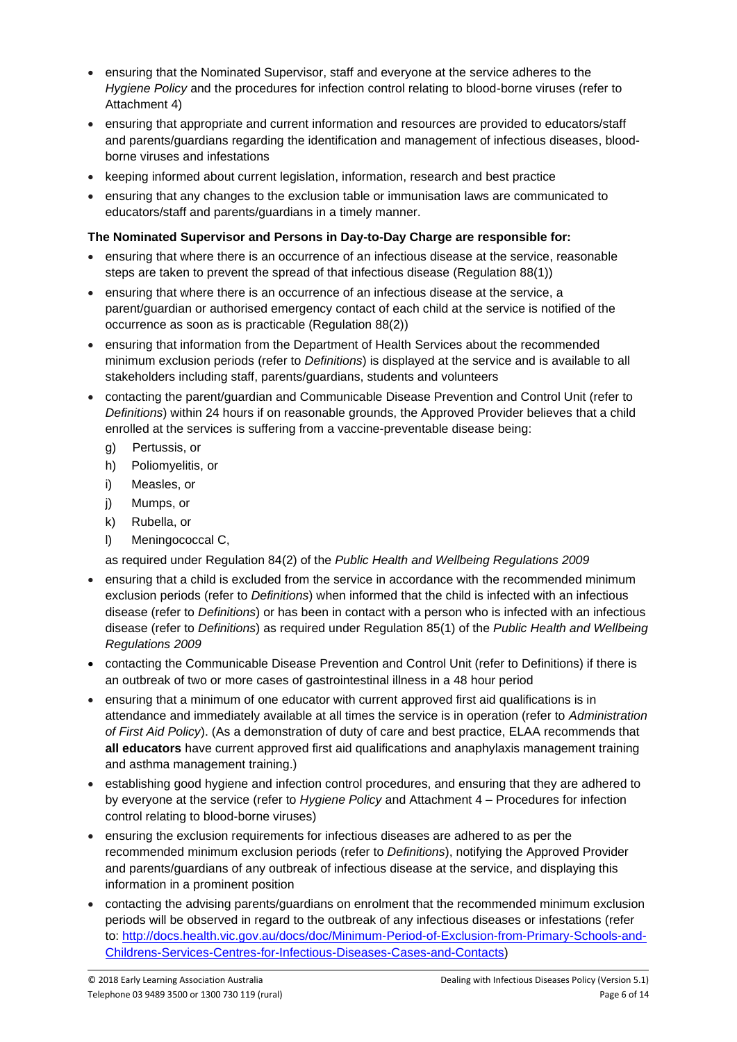- ensuring that the Nominated Supervisor, staff and everyone at the service adheres to the *Hygiene Policy* and the procedures for infection control relating to blood-borne viruses (refer to Attachment 4)
- ensuring that appropriate and current information and resources are provided to educators/staff and parents/guardians regarding the identification and management of infectious diseases, bloodborne viruses and infestations
- keeping informed about current legislation, information, research and best practice
- ensuring that any changes to the exclusion table or immunisation laws are communicated to educators/staff and parents/guardians in a timely manner.

### **The Nominated Supervisor and Persons in Day-to-Day Charge are responsible for:**

- ensuring that where there is an occurrence of an infectious disease at the service, reasonable steps are taken to prevent the spread of that infectious disease (Regulation 88(1))
- ensuring that where there is an occurrence of an infectious disease at the service, a parent/guardian or authorised emergency contact of each child at the service is notified of the occurrence as soon as is practicable (Regulation 88(2))
- ensuring that information from the Department of Health Services about the recommended minimum exclusion periods (refer to *Definitions*) is displayed at the service and is available to all stakeholders including staff, parents/guardians, students and volunteers
- contacting the parent/guardian and Communicable Disease Prevention and Control Unit (refer to *Definitions*) within 24 hours if on reasonable grounds, the Approved Provider believes that a child enrolled at the services is suffering from a vaccine-preventable disease being:
	- g) Pertussis, or
	- h) Poliomyelitis, or
	- i) Measles, or
	- j) Mumps, or
	- k) Rubella, or
	- l) Meningococcal C,
	- as required under Regulation 84(2) of the *Public Health and Wellbeing Regulations 2009*
- ensuring that a child is excluded from the service in accordance with the recommended minimum exclusion periods (refer to *Definitions*) when informed that the child is infected with an infectious disease (refer to *Definitions*) or has been in contact with a person who is infected with an infectious disease (refer to *Definitions*) as required under Regulation 85(1) of the *Public Health and Wellbeing Regulations 2009*
- contacting the Communicable Disease Prevention and Control Unit (refer to Definitions) if there is an outbreak of two or more cases of gastrointestinal illness in a 48 hour period
- ensuring that a minimum of one educator with current approved first aid qualifications is in attendance and immediately available at all times the service is in operation (refer to *Administration of First Aid Policy*). (As a demonstration of duty of care and best practice, ELAA recommends that **all educators** have current approved first aid qualifications and anaphylaxis management training and asthma management training.)
- establishing good hygiene and infection control procedures, and ensuring that they are adhered to by everyone at the service (refer to *Hygiene Policy* and Attachment 4 – Procedures for infection control relating to blood-borne viruses)
- ensuring the exclusion requirements for infectious diseases are adhered to as per the recommended minimum exclusion periods (refer to *Definitions*), notifying the Approved Provider and parents/guardians of any outbreak of infectious disease at the service, and displaying this information in a prominent position
- contacting the advising parents/guardians on enrolment that the recommended minimum exclusion periods will be observed in regard to the outbreak of any infectious diseases or infestations (refer to: [http://docs.health.vic.gov.au/docs/doc/Minimum-Period-of-Exclusion-from-Primary-Schools-and-](http://docs.health.vic.gov.au/docs/doc/Minimum-Period-of-Exclusion-from-Primary-Schools-and-Childrens-Services-Centres-for-Infectious-Diseases-Cases-and-Contacts)[Childrens-Services-Centres-for-Infectious-Diseases-Cases-and-Contacts\)](http://docs.health.vic.gov.au/docs/doc/Minimum-Period-of-Exclusion-from-Primary-Schools-and-Childrens-Services-Centres-for-Infectious-Diseases-Cases-and-Contacts)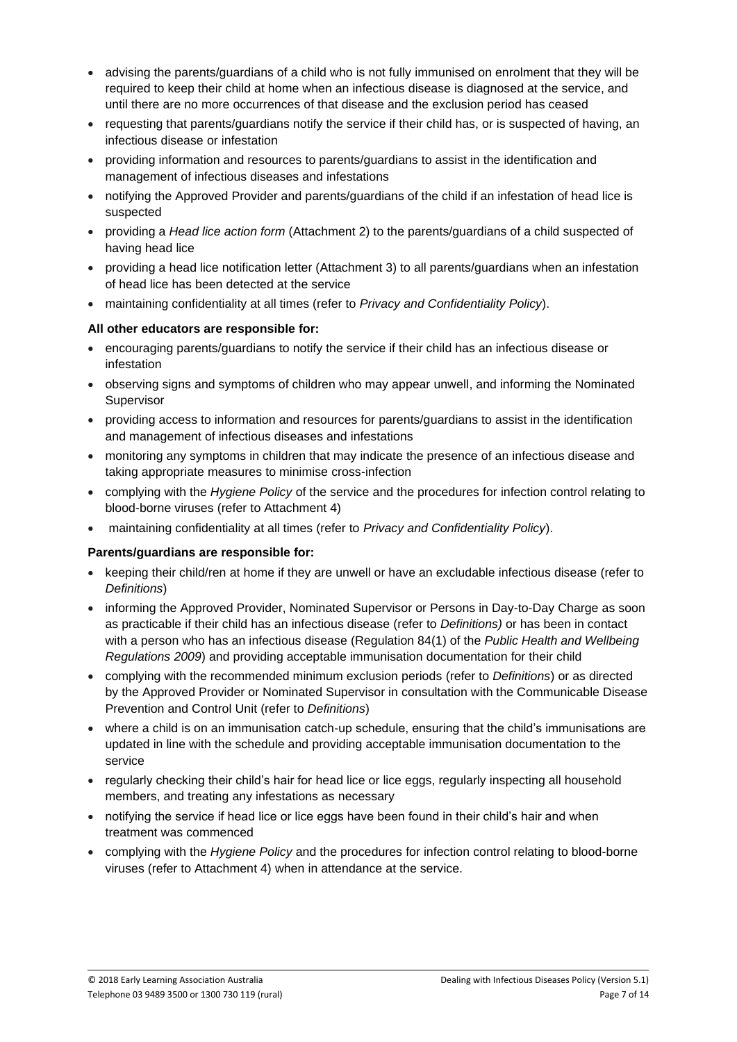- advising the parents/guardians of a child who is not fully immunised on enrolment that they will be required to keep their child at home when an infectious disease is diagnosed at the service, and until there are no more occurrences of that disease and the exclusion period has ceased
- requesting that parents/guardians notify the service if their child has, or is suspected of having, an infectious disease or infestation
- providing information and resources to parents/guardians to assist in the identification and management of infectious diseases and infestations
- notifying the Approved Provider and parents/guardians of the child if an infestation of head lice is suspected
- providing a *Head lice action form* (Attachment 2) to the parents/guardians of a child suspected of having head lice
- providing a head lice notification letter (Attachment 3) to all parents/guardians when an infestation of head lice has been detected at the service
- maintaining confidentiality at all times (refer to *Privacy and Confidentiality Policy*).

### **All other educators are responsible for:**

- encouraging parents/guardians to notify the service if their child has an infectious disease or infestation
- observing signs and symptoms of children who may appear unwell, and informing the Nominated Supervisor
- providing access to information and resources for parents/guardians to assist in the identification and management of infectious diseases and infestations
- monitoring any symptoms in children that may indicate the presence of an infectious disease and taking appropriate measures to minimise cross-infection
- complying with the *Hygiene Policy* of the service and the procedures for infection control relating to blood-borne viruses (refer to Attachment 4)
- maintaining confidentiality at all times (refer to *Privacy and Confidentiality Policy*).

#### **Parents/guardians are responsible for:**

- keeping their child/ren at home if they are unwell or have an excludable infectious disease (refer to *Definitions*)
- informing the Approved Provider, Nominated Supervisor or Persons in Day-to-Day Charge as soon as practicable if their child has an infectious disease (refer to *Definitions)* or has been in contact with a person who has an infectious disease (Regulation 84(1) of the *Public Health and Wellbeing Regulations 2009*) and providing acceptable immunisation documentation for their child
- complying with the recommended minimum exclusion periods (refer to *Definitions*) or as directed by the Approved Provider or Nominated Supervisor in consultation with the Communicable Disease Prevention and Control Unit (refer to *Definitions*)
- where a child is on an immunisation catch-up schedule, ensuring that the child's immunisations are updated in line with the schedule and providing acceptable immunisation documentation to the service
- regularly checking their child's hair for head lice or lice eggs, regularly inspecting all household members, and treating any infestations as necessary
- notifying the service if head lice or lice eggs have been found in their child's hair and when treatment was commenced
- complying with the *Hygiene Policy* and the procedures for infection control relating to blood-borne viruses (refer to Attachment 4) when in attendance at the service.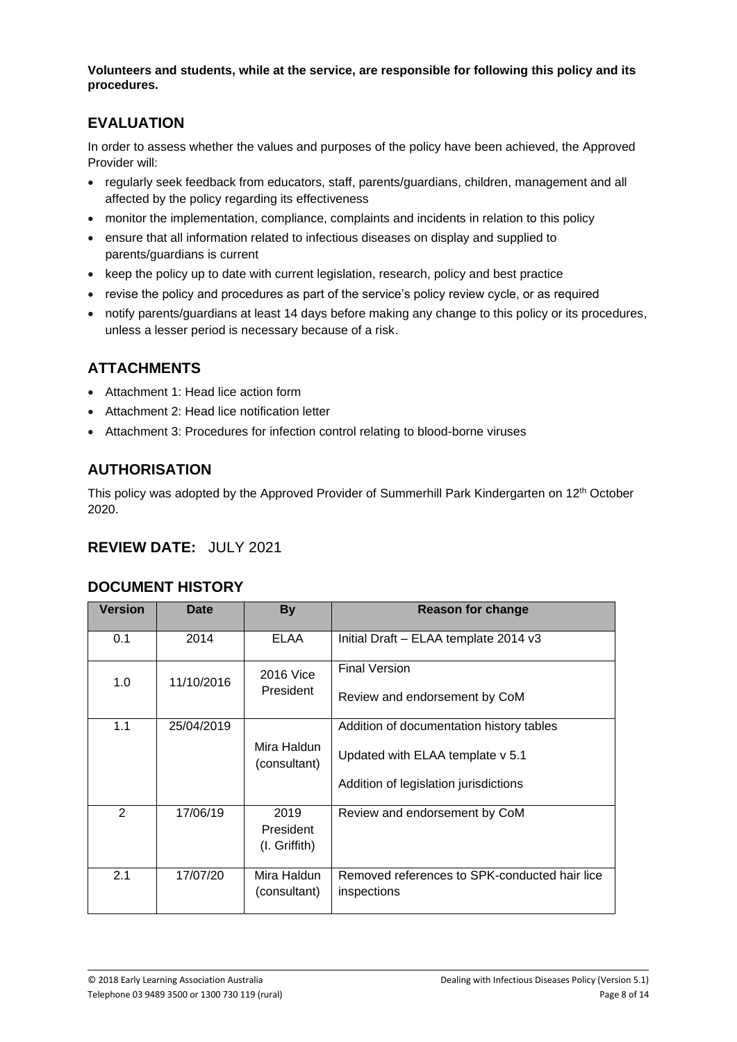**Volunteers and students, while at the service, are responsible for following this policy and its procedures.**

# **EVALUATION**

In order to assess whether the values and purposes of the policy have been achieved, the Approved Provider will:

- regularly seek feedback from educators, staff, parents/guardians, children, management and all affected by the policy regarding its effectiveness
- monitor the implementation, compliance, complaints and incidents in relation to this policy
- ensure that all information related to infectious diseases on display and supplied to parents/guardians is current
- keep the policy up to date with current legislation, research, policy and best practice
- revise the policy and procedures as part of the service's policy review cycle, or as required
- notify parents/guardians at least 14 days before making any change to this policy or its procedures, unless a lesser period is necessary because of a risk.

# **ATTACHMENTS**

- Attachment 1: Head lice action form
- Attachment 2: Head lice notification letter
- Attachment 3: Procedures for infection control relating to blood-borne viruses

# **AUTHORISATION**

This policy was adopted by the Approved Provider of Summerhill Park Kindergarten on 12th October 2020.

# **REVIEW DATE:** JULY 2021

## **DOCUMENT HISTORY**

| <b>Version</b> | Date       | <b>By</b>                            | Reason for change                                                                                                     |
|----------------|------------|--------------------------------------|-----------------------------------------------------------------------------------------------------------------------|
| 0.1            | 2014       | <b>ELAA</b>                          | Initial Draft - ELAA template 2014 v3                                                                                 |
| 1.0            | 11/10/2016 | 2016 Vice<br>President               | <b>Final Version</b><br>Review and endorsement by CoM                                                                 |
| 1.1            | 25/04/2019 | Mira Haldun<br>(consultant)          | Addition of documentation history tables<br>Updated with ELAA template v 5.1<br>Addition of legislation jurisdictions |
| 2              | 17/06/19   | 2019<br>President<br>$(I.$ Griffith) | Review and endorsement by CoM                                                                                         |
| 2.1            | 17/07/20   | Mira Haldun<br>(consultant)          | Removed references to SPK-conducted hair lice<br>inspections                                                          |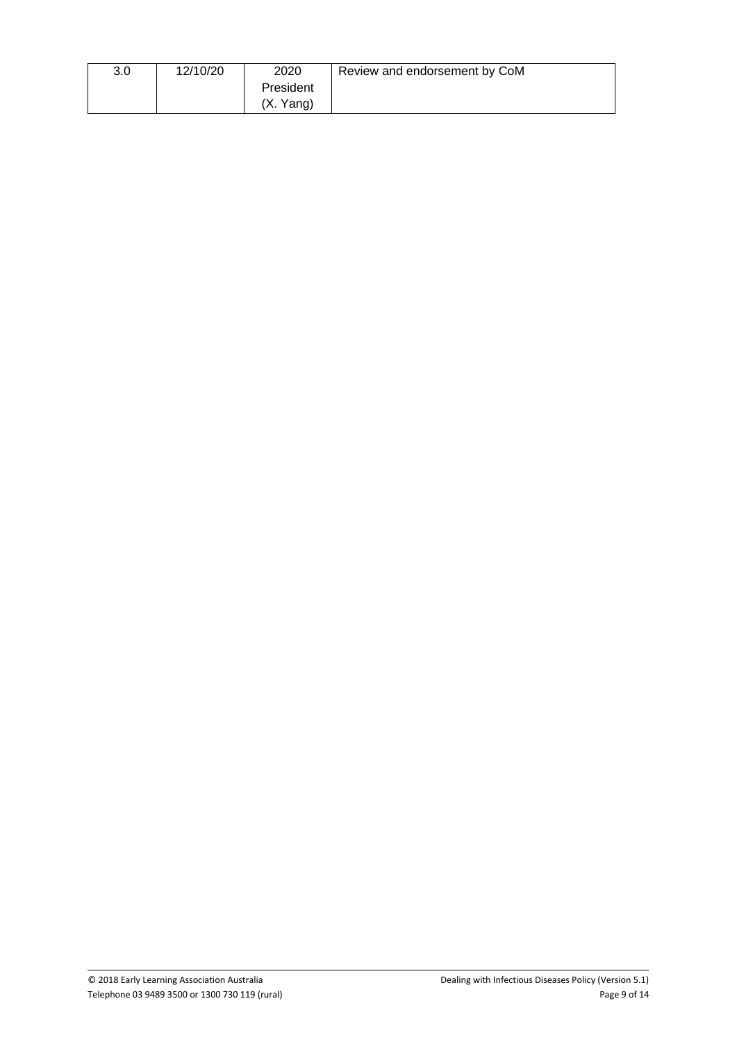| 3.0 | 12/10/20 | 2020      | Review and endorsement by CoM |
|-----|----------|-----------|-------------------------------|
|     |          | President |                               |
|     |          | (X. Yang) |                               |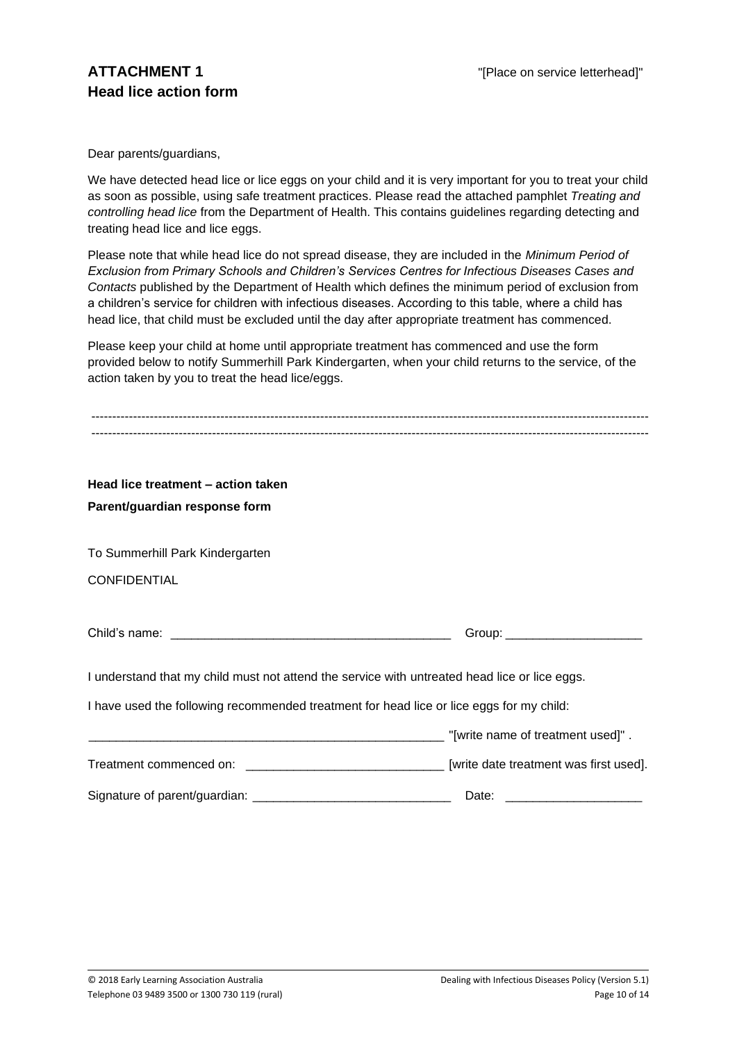Dear parents/guardians,

We have detected head lice or lice eggs on your child and it is very important for you to treat your child as soon as possible, using safe treatment practices. Please read the attached pamphlet *Treating and controlling head lice* from the Department of Health. This contains guidelines regarding detecting and treating head lice and lice eggs.

Please note that while head lice do not spread disease, they are included in the *Minimum Period of Exclusion from Primary Schools and Children's Services Centres for Infectious Diseases Cases and Contacts* published by the Department of Health which defines the minimum period of exclusion from a children's service for children with infectious diseases. According to this table, where a child has head lice, that child must be excluded until the day after appropriate treatment has commenced.

Please keep your child at home until appropriate treatment has commenced and use the form provided below to notify Summerhill Park Kindergarten, when your child returns to the service, of the action taken by you to treat the head lice/eggs.

| Head lice treatment - action taken                                                            |                                   |
|-----------------------------------------------------------------------------------------------|-----------------------------------|
| Parent/guardian response form                                                                 |                                   |
|                                                                                               |                                   |
| To Summerhill Park Kindergarten                                                               |                                   |
| <b>CONFIDENTIAL</b>                                                                           |                                   |
|                                                                                               |                                   |
|                                                                                               | Group: ________________________   |
| I understand that my child must not attend the service with untreated head lice or lice eggs. |                                   |
| I have used the following recommended treatment for head lice or lice eggs for my child:      |                                   |
|                                                                                               | "[write name of treatment used]". |
|                                                                                               |                                   |
|                                                                                               | Date:                             |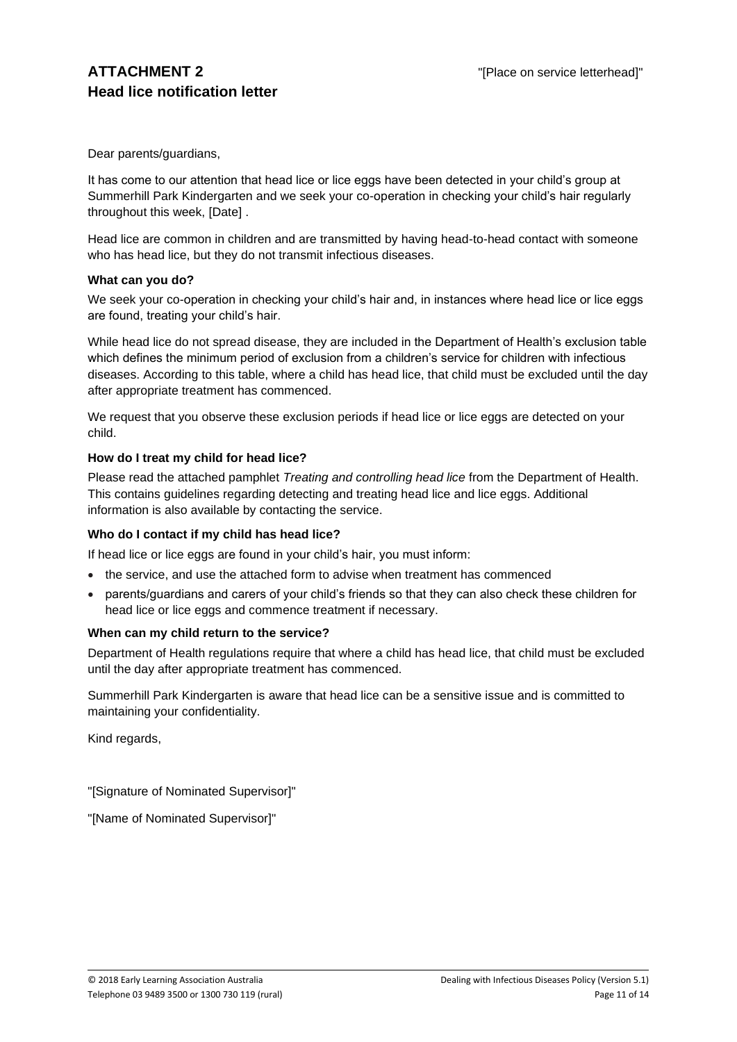Dear parents/guardians,

It has come to our attention that head lice or lice eggs have been detected in your child's group at Summerhill Park Kindergarten and we seek your co-operation in checking your child's hair regularly throughout this week, [Date] .

Head lice are common in children and are transmitted by having head-to-head contact with someone who has head lice, but they do not transmit infectious diseases.

### **What can you do?**

We seek your co-operation in checking your child's hair and, in instances where head lice or lice eggs are found, treating your child's hair.

While head lice do not spread disease, they are included in the Department of Health's exclusion table which defines the minimum period of exclusion from a children's service for children with infectious diseases. According to this table, where a child has head lice, that child must be excluded until the day after appropriate treatment has commenced.

We request that you observe these exclusion periods if head lice or lice eggs are detected on your child.

### **How do I treat my child for head lice?**

Please read the attached pamphlet *Treating and controlling head lice* from the Department of Health. This contains guidelines regarding detecting and treating head lice and lice eggs. Additional information is also available by contacting the service.

#### **Who do I contact if my child has head lice?**

If head lice or lice eggs are found in your child's hair, you must inform:

- the service, and use the attached form to advise when treatment has commenced
- parents/guardians and carers of your child's friends so that they can also check these children for head lice or lice eggs and commence treatment if necessary.

## **When can my child return to the service?**

Department of Health regulations require that where a child has head lice, that child must be excluded until the day after appropriate treatment has commenced.

Summerhill Park Kindergarten is aware that head lice can be a sensitive issue and is committed to maintaining your confidentiality.

Kind regards,

"[Signature of Nominated Supervisor]"

"[Name of Nominated Supervisor]"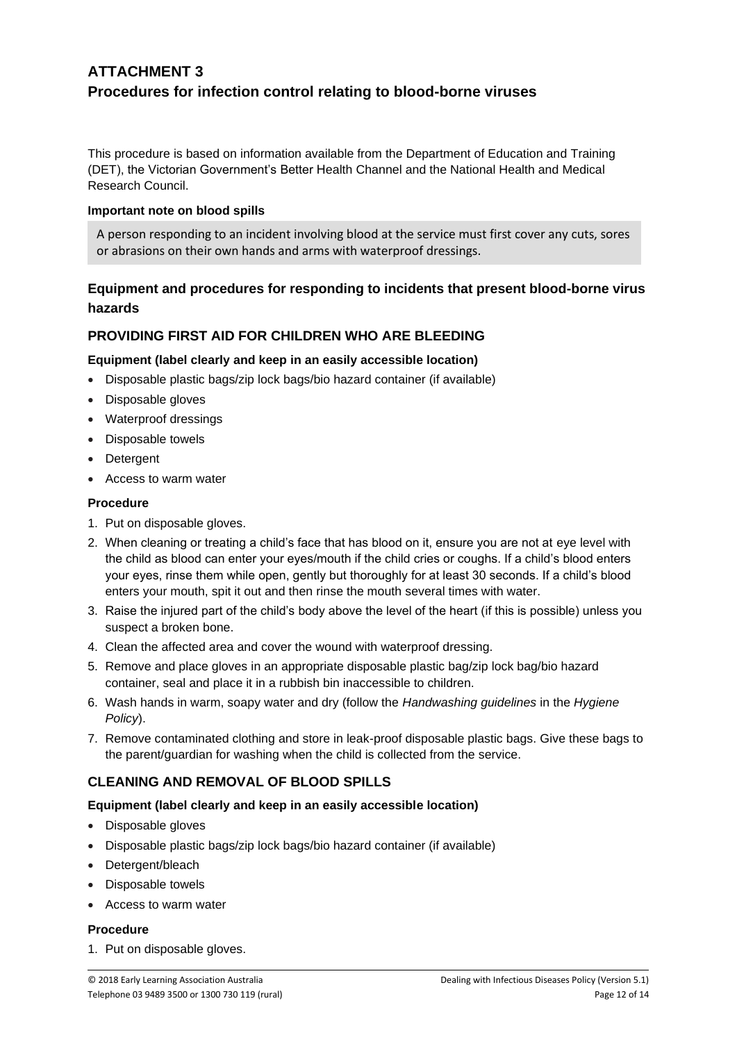# **ATTACHMENT 3 Procedures for infection control relating to blood-borne viruses**

This procedure is based on information available from the Department of Education and Training (DET), the Victorian Government's Better Health Channel and the National Health and Medical Research Council.

### **Important note on blood spills**

A person responding to an incident involving blood at the service must first cover any cuts, sores or abrasions on their own hands and arms with waterproof dressings.

# **Equipment and procedures for responding to incidents that present blood-borne virus hazards**

## **PROVIDING FIRST AID FOR CHILDREN WHO ARE BLEEDING**

## **Equipment (label clearly and keep in an easily accessible location)**

- Disposable plastic bags/zip lock bags/bio hazard container (if available)
- Disposable gloves
- Waterproof dressings
- Disposable towels
- Detergent
- Access to warm water

### **Procedure**

- 1. Put on disposable gloves.
- 2. When cleaning or treating a child's face that has blood on it, ensure you are not at eye level with the child as blood can enter your eyes/mouth if the child cries or coughs. If a child's blood enters your eyes, rinse them while open, gently but thoroughly for at least 30 seconds. If a child's blood enters your mouth, spit it out and then rinse the mouth several times with water.
- 3. Raise the injured part of the child's body above the level of the heart (if this is possible) unless you suspect a broken bone.
- 4. Clean the affected area and cover the wound with waterproof dressing.
- 5. Remove and place gloves in an appropriate disposable plastic bag/zip lock bag/bio hazard container, seal and place it in a rubbish bin inaccessible to children.
- 6. Wash hands in warm, soapy water and dry (follow the *Handwashing guidelines* in the *Hygiene Policy*).
- 7. Remove contaminated clothing and store in leak-proof disposable plastic bags. Give these bags to the parent/guardian for washing when the child is collected from the service.

## **CLEANING AND REMOVAL OF BLOOD SPILLS**

## **Equipment (label clearly and keep in an easily accessible location)**

- Disposable gloves
- Disposable plastic bags/zip lock bags/bio hazard container (if available)
- Detergent/bleach
- Disposable towels
- Access to warm water

#### **Procedure**

1. Put on disposable gloves.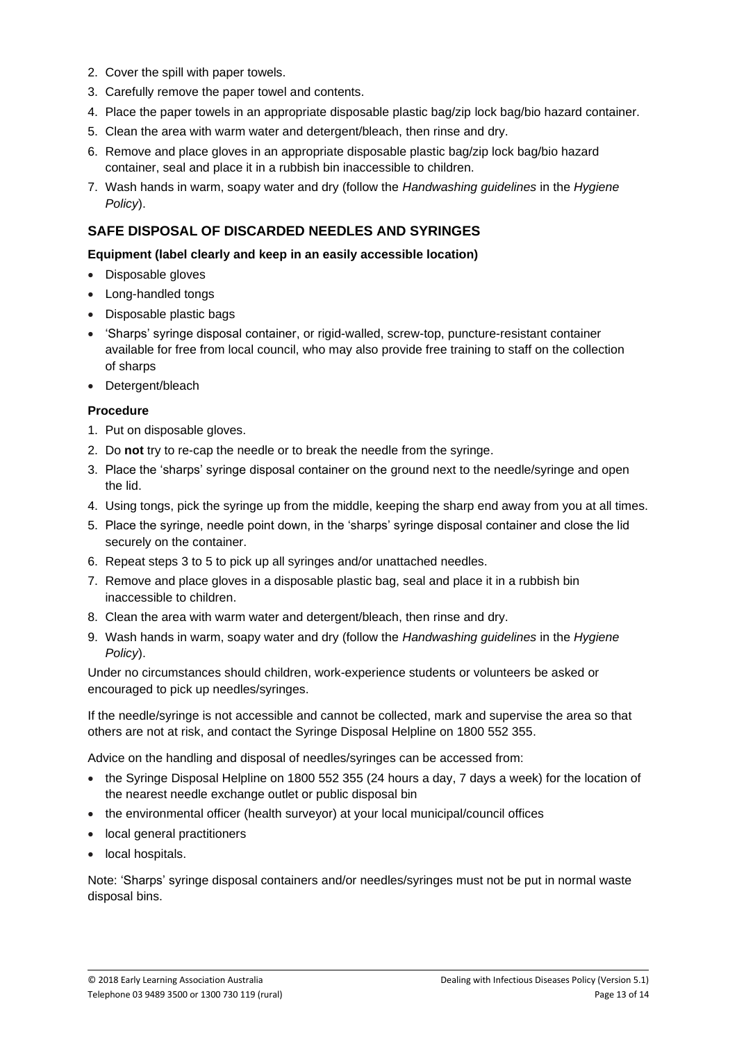- 2. Cover the spill with paper towels.
- 3. Carefully remove the paper towel and contents.
- 4. Place the paper towels in an appropriate disposable plastic bag/zip lock bag/bio hazard container.
- 5. Clean the area with warm water and detergent/bleach, then rinse and dry.
- 6. Remove and place gloves in an appropriate disposable plastic bag/zip lock bag/bio hazard container, seal and place it in a rubbish bin inaccessible to children.
- 7. Wash hands in warm, soapy water and dry (follow the *Handwashing guidelines* in the *Hygiene Policy*).

# **SAFE DISPOSAL OF DISCARDED NEEDLES AND SYRINGES**

### **Equipment (label clearly and keep in an easily accessible location)**

- Disposable gloves
- Long-handled tongs
- Disposable plastic bags
- 'Sharps' syringe disposal container, or rigid-walled, screw-top, puncture-resistant container available for free from local council, who may also provide free training to staff on the collection of sharps
- Detergent/bleach

## **Procedure**

- 1. Put on disposable gloves.
- 2. Do **not** try to re-cap the needle or to break the needle from the syringe.
- 3. Place the 'sharps' syringe disposal container on the ground next to the needle/syringe and open the lid.
- 4. Using tongs, pick the syringe up from the middle, keeping the sharp end away from you at all times.
- 5. Place the syringe, needle point down, in the 'sharps' syringe disposal container and close the lid securely on the container.
- 6. Repeat steps 3 to 5 to pick up all syringes and/or unattached needles.
- 7. Remove and place gloves in a disposable plastic bag, seal and place it in a rubbish bin inaccessible to children.
- 8. Clean the area with warm water and detergent/bleach, then rinse and dry.
- 9. Wash hands in warm, soapy water and dry (follow the *Handwashing guidelines* in the *Hygiene Policy*).

Under no circumstances should children, work-experience students or volunteers be asked or encouraged to pick up needles/syringes.

If the needle/syringe is not accessible and cannot be collected, mark and supervise the area so that others are not at risk, and contact the Syringe Disposal Helpline on 1800 552 355.

Advice on the handling and disposal of needles/syringes can be accessed from:

- the Syringe Disposal Helpline on 1800 552 355 (24 hours a day, 7 days a week) for the location of the nearest needle exchange outlet or public disposal bin
- the environmental officer (health surveyor) at your local municipal/council offices
- local general practitioners
- local hospitals.

Note: 'Sharps' syringe disposal containers and/or needles/syringes must not be put in normal waste disposal bins.